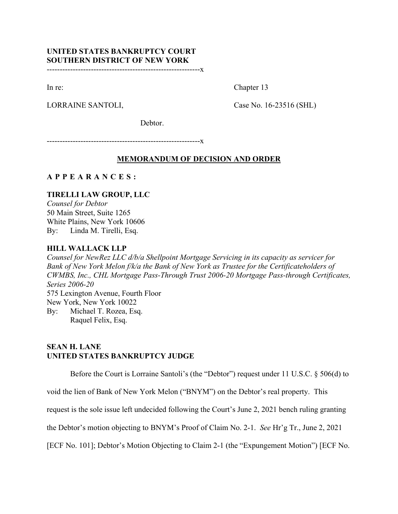# **UNITED STATES BANKRUPTCY COURT SOUTHERN DISTRICT OF NEW YORK**

-----------------------------------------------------------x

In re: Chapter 13

LORRAINE SANTOLI, Case No. 16-23516 (SHL)

Debtor.

-----------------------------------------------------------x

## **MEMORANDUM OF DECISION AND ORDER**

## **APPEARANCES :**

## **TIRELLI LAW GROUP, LLC**

*Counsel for Debtor* 50 Main Street, Suite 1265 White Plains, New York 10606 By: Linda M. Tirelli, Esq.

### **HILL WALLACK LLP**

*Counsel for NewRez LLC d/b/a Shellpoint Mortgage Servicing in its capacity as servicer for Bank of New York Melon f/k/a the Bank of New York as Trustee for the Certificateholders of CWMBS, Inc., CHL Mortgage Pass-Through Trust 2006-20 Mortgage Pass-through Certificates, Series 2006-20* 575 Lexington Avenue, Fourth Floor New York, New York 10022 By: Michael T. Rozea, Esq.

Raquel Felix, Esq.

## **SEAN H. LANE UNITED STATES BANKRUPTCY JUDGE**

Before the Court is Lorraine Santoli's (the "Debtor") request under 11 U.S.C. § 506(d) to

void the lien of Bank of New York Melon ("BNYM") on the Debtor's real property. This

request is the sole issue left undecided following the Court's June 2, 2021 bench ruling granting

the Debtor's motion objecting to BNYM's Proof of Claim No. 2-1. *See* Hr'g Tr., June 2, 2021

[ECF No. 101]; Debtor's Motion Objecting to Claim 2-1 (the "Expungement Motion") [ECF No.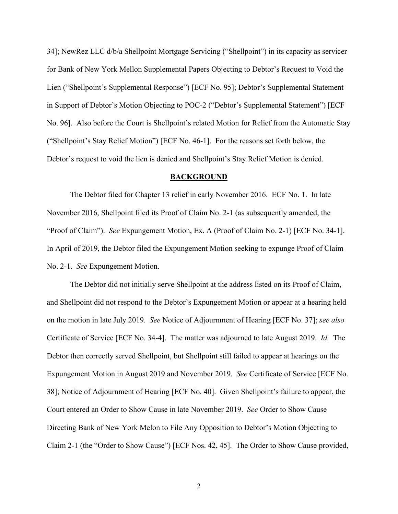34]; NewRez LLC d/b/a Shellpoint Mortgage Servicing ("Shellpoint") in its capacity as servicer for Bank of New York Mellon Supplemental Papers Objecting to Debtor's Request to Void the Lien ("Shellpoint's Supplemental Response") [ECF No. 95]; Debtor's Supplemental Statement in Support of Debtor's Motion Objecting to POC-2 ("Debtor's Supplemental Statement") [ECF No. 96]. Also before the Court is Shellpoint's related Motion for Relief from the Automatic Stay ("Shellpoint's Stay Relief Motion") [ECF No. 46-1]. For the reasons set forth below, the Debtor's request to void the lien is denied and Shellpoint's Stay Relief Motion is denied.

#### **BACKGROUND**

The Debtor filed for Chapter 13 relief in early November 2016. ECF No. 1. In late November 2016, Shellpoint filed its Proof of Claim No. 2-1 (as subsequently amended, the "Proof of Claim"). *See* Expungement Motion, Ex. A (Proof of Claim No. 2-1) [ECF No. 34-1]. In April of 2019, the Debtor filed the Expungement Motion seeking to expunge Proof of Claim No. 2-1. *See* Expungement Motion.

The Debtor did not initially serve Shellpoint at the address listed on its Proof of Claim, and Shellpoint did not respond to the Debtor's Expungement Motion or appear at a hearing held on the motion in late July 2019. *See* Notice of Adjournment of Hearing [ECF No. 37]; *see also* Certificate of Service [ECF No. 34-4]. The matter was adjourned to late August 2019. *Id.* The Debtor then correctly served Shellpoint, but Shellpoint still failed to appear at hearings on the Expungement Motion in August 2019 and November 2019. *See* Certificate of Service [ECF No. 38]; Notice of Adjournment of Hearing [ECF No. 40]. Given Shellpoint's failure to appear, the Court entered an Order to Show Cause in late November 2019. *See* Order to Show Cause Directing Bank of New York Melon to File Any Opposition to Debtor's Motion Objecting to Claim 2-1 (the "Order to Show Cause") [ECF Nos. 42, 45]. The Order to Show Cause provided,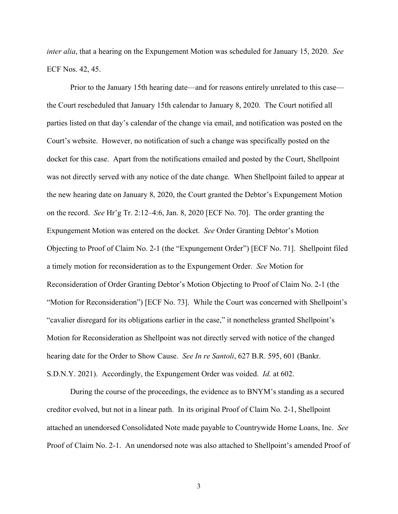*inter alia*, that a hearing on the Expungement Motion was scheduled for January 15, 2020. *See* ECF Nos. 42, 45.

Prior to the January 15th hearing date—and for reasons entirely unrelated to this case the Court rescheduled that January 15th calendar to January 8, 2020. The Court notified all parties listed on that day's calendar of the change via email, and notification was posted on the Court's website. However, no notification of such a change was specifically posted on the docket for this case. Apart from the notifications emailed and posted by the Court, Shellpoint was not directly served with any notice of the date change. When Shellpoint failed to appear at the new hearing date on January 8, 2020, the Court granted the Debtor's Expungement Motion on the record. *See* Hr'g Tr. 2:12–4:6, Jan. 8, 2020 [ECF No. 70]. The order granting the Expungement Motion was entered on the docket. *See* Order Granting Debtor's Motion Objecting to Proof of Claim No. 2-1 (the "Expungement Order") [ECF No. 71]. Shellpoint filed a timely motion for reconsideration as to the Expungement Order. *See* Motion for Reconsideration of Order Granting Debtor's Motion Objecting to Proof of Claim No. 2-1 (the "Motion for Reconsideration") [ECF No. 73]. While the Court was concerned with Shellpoint's "cavalier disregard for its obligations earlier in the case," it nonetheless granted Shellpoint's Motion for Reconsideration as Shellpoint was not directly served with notice of the changed hearing date for the Order to Show Cause. *See In re Santoli*, 627 B.R. 595, 601 (Bankr. S.D.N.Y. 2021). Accordingly, the Expungement Order was voided. *Id.* at 602.

During the course of the proceedings, the evidence as to BNYM's standing as a secured creditor evolved, but not in a linear path. In its original Proof of Claim No. 2-1, Shellpoint attached an unendorsed Consolidated Note made payable to Countrywide Home Loans, Inc. *See* Proof of Claim No. 2-1. An unendorsed note was also attached to Shellpoint's amended Proof of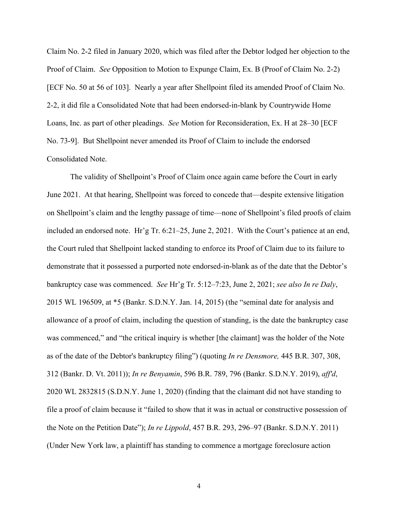Claim No. 2-2 filed in January 2020, which was filed after the Debtor lodged her objection to the Proof of Claim. *See* Opposition to Motion to Expunge Claim, Ex. B (Proof of Claim No. 2-2) [ECF No. 50 at 56 of 103]. Nearly a year after Shellpoint filed its amended Proof of Claim No. 2-2, it did file a Consolidated Note that had been endorsed-in-blank by Countrywide Home Loans, Inc. as part of other pleadings. *See* Motion for Reconsideration, Ex. H at 28–30 [ECF No. 73-9]. But Shellpoint never amended its Proof of Claim to include the endorsed Consolidated Note.

The validity of Shellpoint's Proof of Claim once again came before the Court in early June 2021. At that hearing, Shellpoint was forced to concede that—despite extensive litigation on Shellpoint's claim and the lengthy passage of time—none of Shellpoint's filed proofs of claim included an endorsed note. Hr'g Tr. 6:21–25, June 2, 2021. With the Court's patience at an end, the Court ruled that Shellpoint lacked standing to enforce its Proof of Claim due to its failure to demonstrate that it possessed a purported note endorsed-in-blank as of the date that the Debtor's bankruptcy case was commenced. *See* Hr'g Tr. 5:12–7:23, June 2, 2021; *see also In re Daly*, 2015 WL 196509, at \*5 (Bankr. S.D.N.Y. Jan. 14, 2015) (the "seminal date for analysis and allowance of a proof of claim, including the question of standing, is the date the bankruptcy case was commenced," and "the critical inquiry is whether [the claimant] was the holder of the Note as of the date of the Debtor's bankruptcy filing") (quoting *In re Densmore,* 445 B.R. 307, 308, 312 (Bankr. D. Vt. 2011)); *In re Benyamin*, 596 B.R. 789, 796 (Bankr. S.D.N.Y. 2019), *aff'd*, 2020 WL 2832815 (S.D.N.Y. June 1, 2020) (finding that the claimant did not have standing to file a proof of claim because it "failed to show that it was in actual or constructive possession of the Note on the Petition Date"); *In re Lippold*, 457 B.R. 293, 296–97 (Bankr. S.D.N.Y. 2011) (Under New York law, a plaintiff has standing to commence a mortgage foreclosure action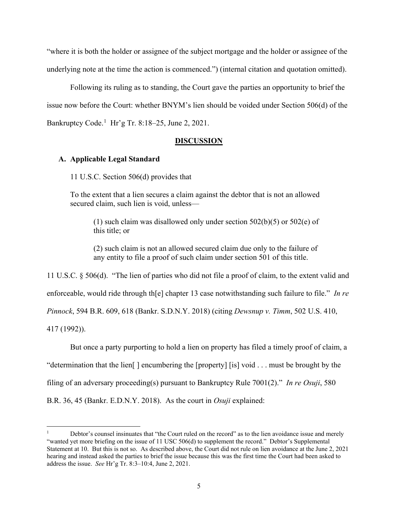"where it is both the holder or assignee of the subject mortgage and the holder or assignee of the underlying note at the time the action is commenced.") (internal citation and quotation omitted).

Following its ruling as to standing, the Court gave the parties an opportunity to brief the issue now before the Court: whether BNYM's lien should be voided under Section 506(d) of the Bankruptcy Code. [1](#page-4-0) Hr'g Tr. 8:18–25, June 2, 2021.

#### **DISCUSSION**

### **A. Applicable Legal Standard**

11 U.S.C. Section 506(d) provides that

To the extent that a lien secures a claim against the debtor that is not an allowed secured claim, such lien is void, unless—

(1) such claim was disallowed only under section 502(b)(5) or 502(e) of this title; or

(2) such claim is not an allowed secured claim due only to the failure of any entity to file a proof of such claim under section 501 of this title.

11 U.S.C. § 506(d). "The lien of parties who did not file a proof of claim, to the extent valid and enforceable, would ride through th[e] chapter 13 case notwithstanding such failure to file." *In re Pinnock*, 594 B.R. 609, 618 (Bankr. S.D.N.Y. 2018) (citing *Dewsnup v. Timm*, 502 U.S. 410, 417 (1992)).

But once a party purporting to hold a lien on property has filed a timely proof of claim, a

"determination that the lien  $\vert$  encumbering the [property] [is] void ... must be brought by the

filing of an adversary proceeding(s) pursuant to Bankruptcy Rule 7001(2)." *In re Osuji*, 580

B.R. 36, 45 (Bankr. E.D.N.Y. 2018). As the court in *Osuji* explained:

<span id="page-4-0"></span><sup>1</sup> Debtor's counsel insinuates that "the Court ruled on the record" as to the lien avoidance issue and merely "wanted yet more briefing on the issue of 11 USC 506(d) to supplement the record." Debtor's Supplemental Statement at 10. But this is not so. As described above, the Court did not rule on lien avoidance at the June 2, 2021 hearing and instead asked the parties to brief the issue because this was the first time the Court had been asked to address the issue. *See* Hr'g Tr. 8:3–10:4, June 2, 2021.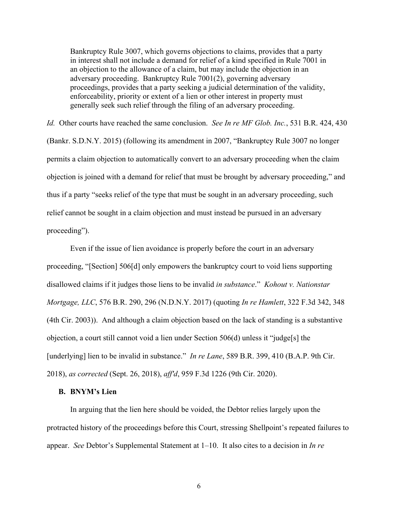Bankruptcy Rule 3007, which governs objections to claims, provides that a party in interest shall not include a demand for relief of a kind specified in Rule 7001 in an objection to the allowance of a claim, but may include the objection in an adversary proceeding. Bankruptcy Rule 7001(2), governing adversary proceedings, provides that a party seeking a judicial determination of the validity, enforceability, priority or extent of a lien or other interest in property must generally seek such relief through the filing of an adversary proceeding.

*Id.* Other courts have reached the same conclusion. *See In re MF Glob. Inc.*, 531 B.R. 424, 430 (Bankr. S.D.N.Y. 2015) (following its amendment in 2007, "Bankruptcy Rule 3007 no longer permits a claim objection to automatically convert to an adversary proceeding when the claim objection is joined with a demand for relief that must be brought by adversary proceeding," and thus if a party "seeks relief of the type that must be sought in an adversary proceeding, such relief cannot be sought in a claim objection and must instead be pursued in an adversary proceeding").

Even if the issue of lien avoidance is properly before the court in an adversary proceeding, "[Section] 506[d] only empowers the bankruptcy court to void liens supporting disallowed claims if it judges those liens to be invalid *in substance*." *Kohout v. Nationstar Mortgage, LLC*, 576 B.R. 290, 296 (N.D.N.Y. 2017) (quoting *In re Hamlett*, 322 F.3d 342, 348 (4th Cir. 2003)). And although a claim objection based on the lack of standing is a substantive objection, a court still cannot void a lien under Section 506(d) unless it "judge[s] the [underlying] lien to be invalid in substance." *In re Lane*, 589 B.R. 399, 410 (B.A.P. 9th Cir. 2018), *as corrected* (Sept. 26, 2018), *aff'd*, 959 F.3d 1226 (9th Cir. 2020).

### **B. BNYM's Lien**

In arguing that the lien here should be voided, the Debtor relies largely upon the protracted history of the proceedings before this Court, stressing Shellpoint's repeated failures to appear. *See* Debtor's Supplemental Statement at 1–10. It also cites to a decision in *In re*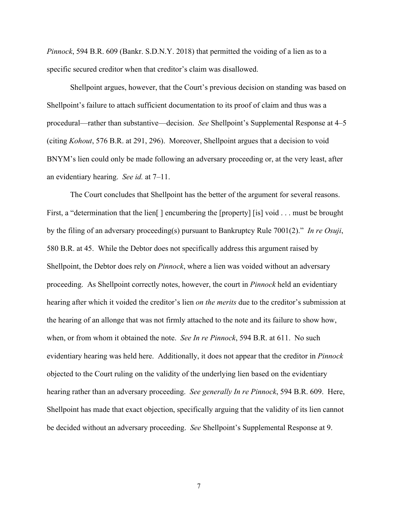*Pinnock*, 594 B.R. 609 (Bankr. S.D.N.Y. 2018) that permitted the voiding of a lien as to a specific secured creditor when that creditor's claim was disallowed.

Shellpoint argues, however, that the Court's previous decision on standing was based on Shellpoint's failure to attach sufficient documentation to its proof of claim and thus was a procedural—rather than substantive—decision. *See* Shellpoint's Supplemental Response at 4–5 (citing *Kohout*, 576 B.R. at 291, 296). Moreover, Shellpoint argues that a decision to void BNYM's lien could only be made following an adversary proceeding or, at the very least, after an evidentiary hearing. *See id.* at 7–11.

The Court concludes that Shellpoint has the better of the argument for several reasons. First, a "determination that the lien<sup>[]</sup> encumbering the [property] [is] void . . . must be brought by the filing of an adversary proceeding(s) pursuant to Bankruptcy Rule 7001(2)." *In re Osuji*, 580 B.R. at 45. While the Debtor does not specifically address this argument raised by Shellpoint, the Debtor does rely on *Pinnock*, where a lien was voided without an adversary proceeding. As Shellpoint correctly notes, however, the court in *Pinnock* held an evidentiary hearing after which it voided the creditor's lien *on the merits* due to the creditor's submission at the hearing of an allonge that was not firmly attached to the note and its failure to show how, when, or from whom it obtained the note. *See In re Pinnock*, 594 B.R. at 611. No such evidentiary hearing was held here. Additionally, it does not appear that the creditor in *Pinnock* objected to the Court ruling on the validity of the underlying lien based on the evidentiary hearing rather than an adversary proceeding. *See generally In re Pinnock*, 594 B.R. 609. Here, Shellpoint has made that exact objection, specifically arguing that the validity of its lien cannot be decided without an adversary proceeding. *See* Shellpoint's Supplemental Response at 9.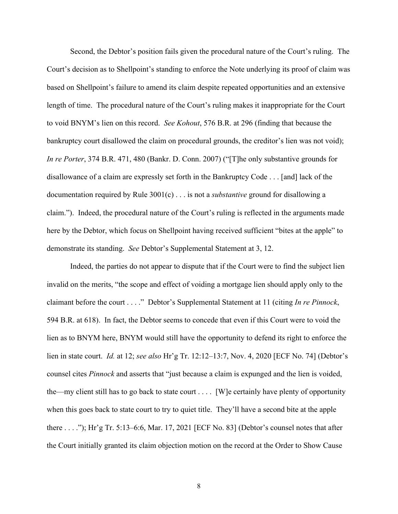Second, the Debtor's position fails given the procedural nature of the Court's ruling. The Court's decision as to Shellpoint's standing to enforce the Note underlying its proof of claim was based on Shellpoint's failure to amend its claim despite repeated opportunities and an extensive length of time. The procedural nature of the Court's ruling makes it inappropriate for the Court to void BNYM's lien on this record. *See Kohout*, 576 B.R. at 296 (finding that because the bankruptcy court disallowed the claim on procedural grounds, the creditor's lien was not void); *In re Porter*, 374 B.R. 471, 480 (Bankr. D. Conn. 2007) ("[T]he only substantive grounds for disallowance of a claim are expressly set forth in the Bankruptcy Code . . . [and] lack of the documentation required by Rule 3001(c) . . . is not a *substantive* ground for disallowing a claim."). Indeed, the procedural nature of the Court's ruling is reflected in the arguments made here by the Debtor, which focus on Shellpoint having received sufficient "bites at the apple" to demonstrate its standing. *See* Debtor's Supplemental Statement at 3, 12.

Indeed, the parties do not appear to dispute that if the Court were to find the subject lien invalid on the merits, "the scope and effect of voiding a mortgage lien should apply only to the claimant before the court . . . ." Debtor's Supplemental Statement at 11 (citing *In re Pinnock*, 594 B.R. at 618). In fact, the Debtor seems to concede that even if this Court were to void the lien as to BNYM here, BNYM would still have the opportunity to defend its right to enforce the lien in state court. *Id.* at 12; *see also* Hr'g Tr. 12:12–13:7, Nov. 4, 2020 [ECF No. 74] (Debtor's counsel cites *Pinnock* and asserts that "just because a claim is expunged and the lien is voided, the—my client still has to go back to state court . . . . [W]e certainly have plenty of opportunity when this goes back to state court to try to quiet title. They'll have a second bite at the apple there . . . ."); Hr'g Tr. 5:13–6:6, Mar. 17, 2021 [ECF No. 83] (Debtor's counsel notes that after the Court initially granted its claim objection motion on the record at the Order to Show Cause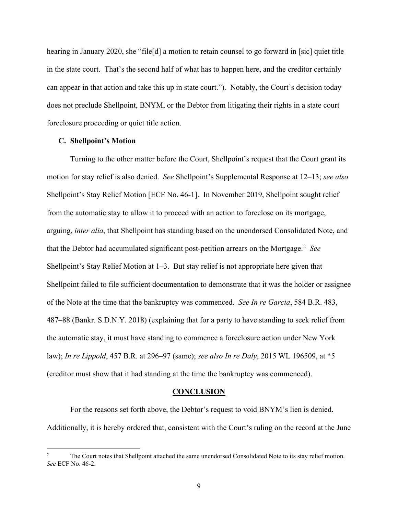hearing in January 2020, she "file<sup>[d]</sup> a motion to retain counsel to go forward in [sic] quiet title in the state court. That's the second half of what has to happen here, and the creditor certainly can appear in that action and take this up in state court."). Notably, the Court's decision today does not preclude Shellpoint, BNYM, or the Debtor from litigating their rights in a state court foreclosure proceeding or quiet title action.

### **C. Shellpoint's Motion**

Turning to the other matter before the Court, Shellpoint's request that the Court grant its motion for stay relief is also denied. *See* Shellpoint's Supplemental Response at 12–13; *see also* Shellpoint's Stay Relief Motion [ECF No. 46-1]. In November 2019, Shellpoint sought relief from the automatic stay to allow it to proceed with an action to foreclose on its mortgage, arguing, *inter alia*, that Shellpoint has standing based on the unendorsed Consolidated Note, and that the Debtor had accumulated significant post-petition arrears on the Mortgage.<sup>[2](#page-8-0)</sup> See Shellpoint's Stay Relief Motion at 1–3. But stay relief is not appropriate here given that Shellpoint failed to file sufficient documentation to demonstrate that it was the holder or assignee of the Note at the time that the bankruptcy was commenced. *See In re Garcia*, 584 B.R. 483, 487–88 (Bankr. S.D.N.Y. 2018) (explaining that for a party to have standing to seek relief from the automatic stay, it must have standing to commence a foreclosure action under New York law); *In re Lippold*, 457 B.R. at 296–97 (same); *see also In re Daly*, 2015 WL 196509, at \*5 (creditor must show that it had standing at the time the bankruptcy was commenced).

#### **CONCLUSION**

For the reasons set forth above, the Debtor's request to void BNYM's lien is denied. Additionally, it is hereby ordered that, consistent with the Court's ruling on the record at the June

<span id="page-8-0"></span>The Court notes that Shellpoint attached the same unendorsed Consolidated Note to its stay relief motion. *See* ECF No. 46-2.